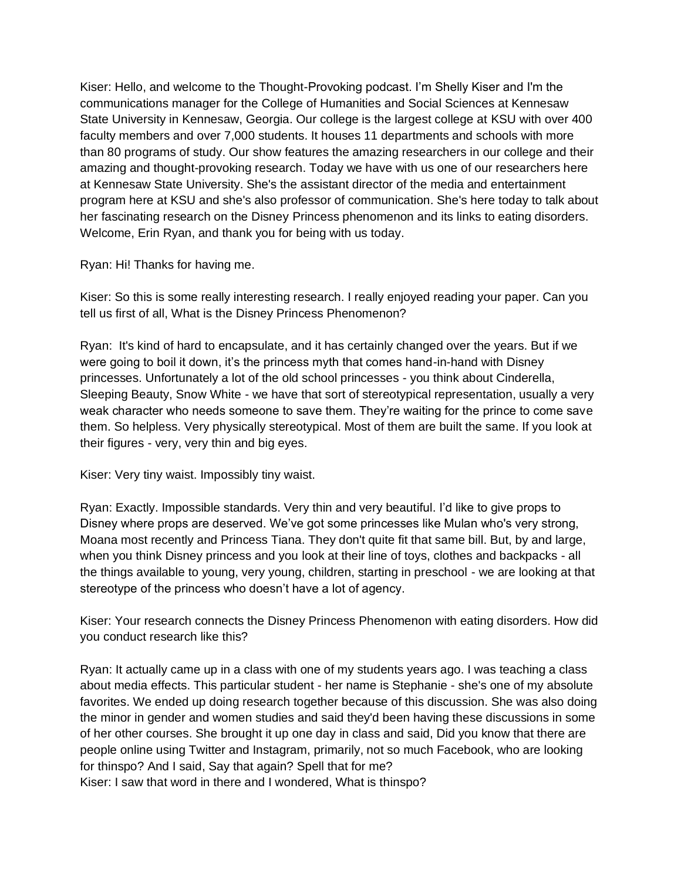Kiser: Hello, and welcome to the Thought-Provoking podcast. I'm Shelly Kiser and I'm the communications manager for the College of Humanities and Social Sciences at Kennesaw State University in Kennesaw, Georgia. Our college is the largest college at KSU with over 400 faculty members and over 7,000 students. It houses 11 departments and schools with more than 80 programs of study. Our show features the amazing researchers in our college and their amazing and thought-provoking research. Today we have with us one of our researchers here at Kennesaw State University. She's the assistant director of the media and entertainment program here at KSU and she's also professor of communication. She's here today to talk about her fascinating research on the Disney Princess phenomenon and its links to eating disorders. Welcome, Erin Ryan, and thank you for being with us today.

Ryan: Hi! Thanks for having me.

Kiser: So this is some really interesting research. I really enjoyed reading your paper. Can you tell us first of all, What is the Disney Princess Phenomenon?

Ryan: It's kind of hard to encapsulate, and it has certainly changed over the years. But if we were going to boil it down, it's the princess myth that comes hand-in-hand with Disney princesses. Unfortunately a lot of the old school princesses - you think about Cinderella, Sleeping Beauty, Snow White - we have that sort of stereotypical representation, usually a very weak character who needs someone to save them. They're waiting for the prince to come save them. So helpless. Very physically stereotypical. Most of them are built the same. If you look at their figures - very, very thin and big eyes.

Kiser: Very tiny waist. Impossibly tiny waist.

Ryan: Exactly. Impossible standards. Very thin and very beautiful. I'd like to give props to Disney where props are deserved. We've got some princesses like Mulan who's very strong, Moana most recently and Princess Tiana. They don't quite fit that same bill. But, by and large, when you think Disney princess and you look at their line of toys, clothes and backpacks - all the things available to young, very young, children, starting in preschool - we are looking at that stereotype of the princess who doesn't have a lot of agency.

Kiser: Your research connects the Disney Princess Phenomenon with eating disorders. How did you conduct research like this?

Ryan: It actually came up in a class with one of my students years ago. I was teaching a class about media effects. This particular student - her name is Stephanie - she's one of my absolute favorites. We ended up doing research together because of this discussion. She was also doing the minor in gender and women studies and said they'd been having these discussions in some of her other courses. She brought it up one day in class and said, Did you know that there are people online using Twitter and Instagram, primarily, not so much Facebook, who are looking for thinspo? And I said, Say that again? Spell that for me? Kiser: I saw that word in there and I wondered, What is thinspo?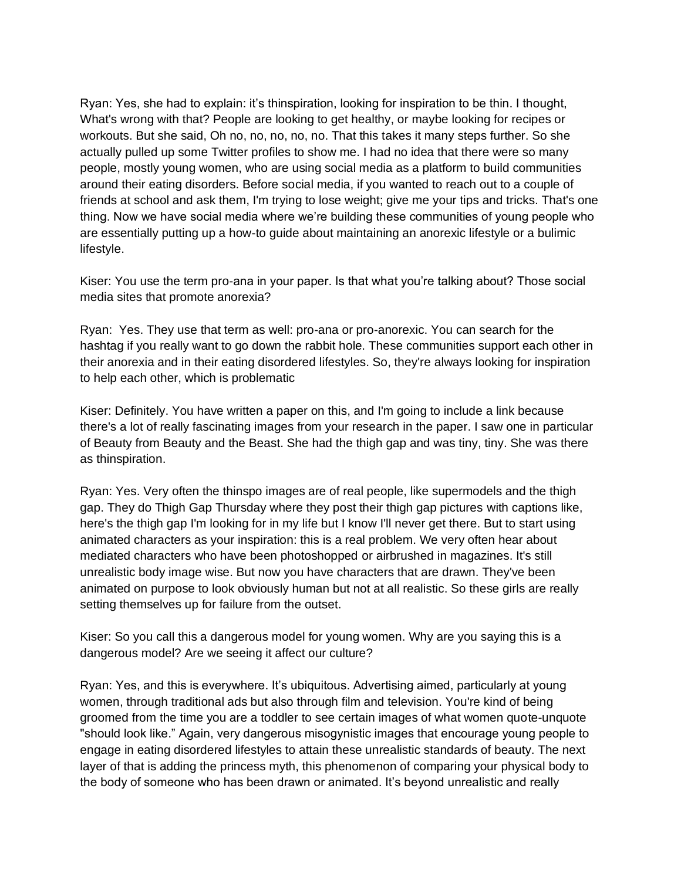Ryan: Yes, she had to explain: it's thinspiration, looking for inspiration to be thin. I thought, What's wrong with that? People are looking to get healthy, or maybe looking for recipes or workouts. But she said, Oh no, no, no, no, no. That this takes it many steps further. So she actually pulled up some Twitter profiles to show me. I had no idea that there were so many people, mostly young women, who are using social media as a platform to build communities around their eating disorders. Before social media, if you wanted to reach out to a couple of friends at school and ask them, I'm trying to lose weight; give me your tips and tricks. That's one thing. Now we have social media where we're building these communities of young people who are essentially putting up a how-to guide about maintaining an anorexic lifestyle or a bulimic lifestyle.

Kiser: You use the term pro-ana in your paper. Is that what you're talking about? Those social media sites that promote anorexia?

Ryan: Yes. They use that term as well: pro-ana or pro-anorexic. You can search for the hashtag if you really want to go down the rabbit hole. These communities support each other in their anorexia and in their eating disordered lifestyles. So, they're always looking for inspiration to help each other, which is problematic

Kiser: Definitely. You have written a paper on this, and I'm going to include a link because there's a lot of really fascinating images from your research in the paper. I saw one in particular of Beauty from Beauty and the Beast. She had the thigh gap and was tiny, tiny. She was there as thinspiration.

Ryan: Yes. Very often the thinspo images are of real people, like supermodels and the thigh gap. They do Thigh Gap Thursday where they post their thigh gap pictures with captions like, here's the thigh gap I'm looking for in my life but I know I'll never get there. But to start using animated characters as your inspiration: this is a real problem. We very often hear about mediated characters who have been photoshopped or airbrushed in magazines. It's still unrealistic body image wise. But now you have characters that are drawn. They've been animated on purpose to look obviously human but not at all realistic. So these girls are really setting themselves up for failure from the outset.

Kiser: So you call this a dangerous model for young women. Why are you saying this is a dangerous model? Are we seeing it affect our culture?

Ryan: Yes, and this is everywhere. It's ubiquitous. Advertising aimed, particularly at young women, through traditional ads but also through film and television. You're kind of being groomed from the time you are a toddler to see certain images of what women quote-unquote "should look like." Again, very dangerous misogynistic images that encourage young people to engage in eating disordered lifestyles to attain these unrealistic standards of beauty. The next layer of that is adding the princess myth, this phenomenon of comparing your physical body to the body of someone who has been drawn or animated. It's beyond unrealistic and really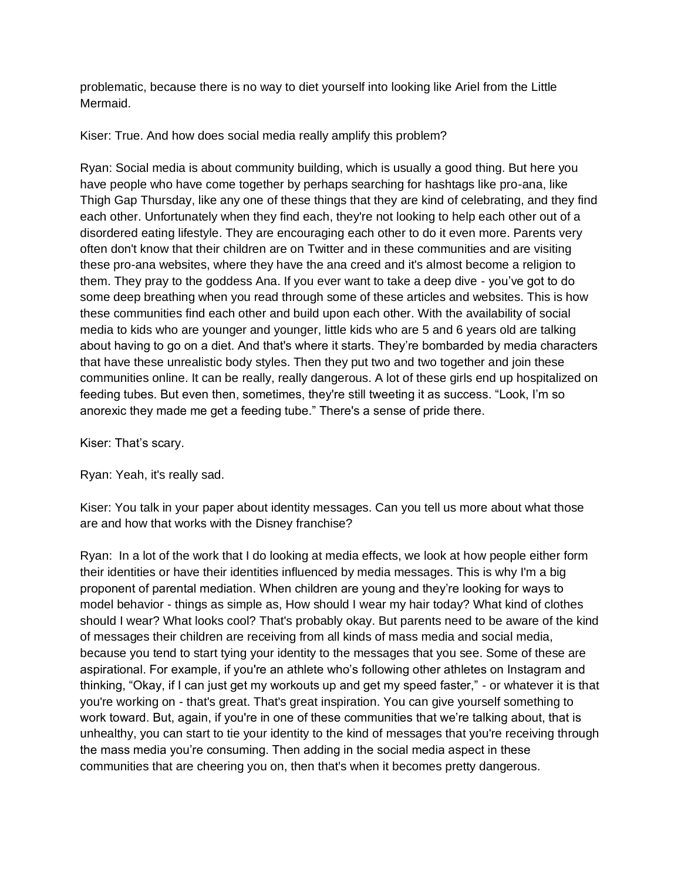problematic, because there is no way to diet yourself into looking like Ariel from the Little Mermaid.

Kiser: True. And how does social media really amplify this problem?

Ryan: Social media is about community building, which is usually a good thing. But here you have people who have come together by perhaps searching for hashtags like pro-ana, like Thigh Gap Thursday, like any one of these things that they are kind of celebrating, and they find each other. Unfortunately when they find each, they're not looking to help each other out of a disordered eating lifestyle. They are encouraging each other to do it even more. Parents very often don't know that their children are on Twitter and in these communities and are visiting these pro-ana websites, where they have the ana creed and it's almost become a religion to them. They pray to the goddess Ana. If you ever want to take a deep dive - you've got to do some deep breathing when you read through some of these articles and websites. This is how these communities find each other and build upon each other. With the availability of social media to kids who are younger and younger, little kids who are 5 and 6 years old are talking about having to go on a diet. And that's where it starts. They're bombarded by media characters that have these unrealistic body styles. Then they put two and two together and join these communities online. It can be really, really dangerous. A lot of these girls end up hospitalized on feeding tubes. But even then, sometimes, they're still tweeting it as success. "Look, I'm so anorexic they made me get a feeding tube." There's a sense of pride there.

Kiser: That's scary.

Ryan: Yeah, it's really sad.

Kiser: You talk in your paper about identity messages. Can you tell us more about what those are and how that works with the Disney franchise?

Ryan: In a lot of the work that I do looking at media effects, we look at how people either form their identities or have their identities influenced by media messages. This is why I'm a big proponent of parental mediation. When children are young and they're looking for ways to model behavior - things as simple as, How should I wear my hair today? What kind of clothes should I wear? What looks cool? That's probably okay. But parents need to be aware of the kind of messages their children are receiving from all kinds of mass media and social media, because you tend to start tying your identity to the messages that you see. Some of these are aspirational. For example, if you're an athlete who's following other athletes on Instagram and thinking, "Okay, if I can just get my workouts up and get my speed faster," - or whatever it is that you're working on - that's great. That's great inspiration. You can give yourself something to work toward. But, again, if you're in one of these communities that we're talking about, that is unhealthy, you can start to tie your identity to the kind of messages that you're receiving through the mass media you're consuming. Then adding in the social media aspect in these communities that are cheering you on, then that's when it becomes pretty dangerous.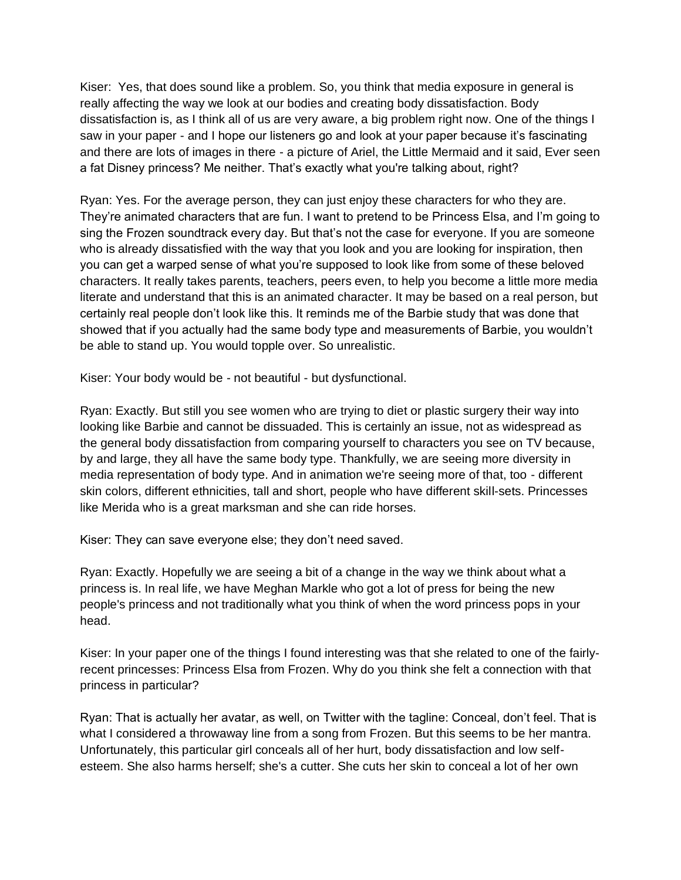Kiser: Yes, that does sound like a problem. So, you think that media exposure in general is really affecting the way we look at our bodies and creating body dissatisfaction. Body dissatisfaction is, as I think all of us are very aware, a big problem right now. One of the things I saw in your paper - and I hope our listeners go and look at your paper because it's fascinating and there are lots of images in there - a picture of Ariel, the Little Mermaid and it said, Ever seen a fat Disney princess? Me neither. That's exactly what you're talking about, right?

Ryan: Yes. For the average person, they can just enjoy these characters for who they are. They're animated characters that are fun. I want to pretend to be Princess Elsa, and I'm going to sing the Frozen soundtrack every day. But that's not the case for everyone. If you are someone who is already dissatisfied with the way that you look and you are looking for inspiration, then you can get a warped sense of what you're supposed to look like from some of these beloved characters. It really takes parents, teachers, peers even, to help you become a little more media literate and understand that this is an animated character. It may be based on a real person, but certainly real people don't look like this. It reminds me of the Barbie study that was done that showed that if you actually had the same body type and measurements of Barbie, you wouldn't be able to stand up. You would topple over. So unrealistic.

Kiser: Your body would be - not beautiful - but dysfunctional.

Ryan: Exactly. But still you see women who are trying to diet or plastic surgery their way into looking like Barbie and cannot be dissuaded. This is certainly an issue, not as widespread as the general body dissatisfaction from comparing yourself to characters you see on TV because, by and large, they all have the same body type. Thankfully, we are seeing more diversity in media representation of body type. And in animation we're seeing more of that, too - different skin colors, different ethnicities, tall and short, people who have different skill-sets. Princesses like Merida who is a great marksman and she can ride horses.

Kiser: They can save everyone else; they don't need saved.

Ryan: Exactly. Hopefully we are seeing a bit of a change in the way we think about what a princess is. In real life, we have Meghan Markle who got a lot of press for being the new people's princess and not traditionally what you think of when the word princess pops in your head.

Kiser: In your paper one of the things I found interesting was that she related to one of the fairlyrecent princesses: Princess Elsa from Frozen. Why do you think she felt a connection with that princess in particular?

Ryan: That is actually her avatar, as well, on Twitter with the tagline: Conceal, don't feel. That is what I considered a throwaway line from a song from Frozen. But this seems to be her mantra. Unfortunately, this particular girl conceals all of her hurt, body dissatisfaction and low selfesteem. She also harms herself; she's a cutter. She cuts her skin to conceal a lot of her own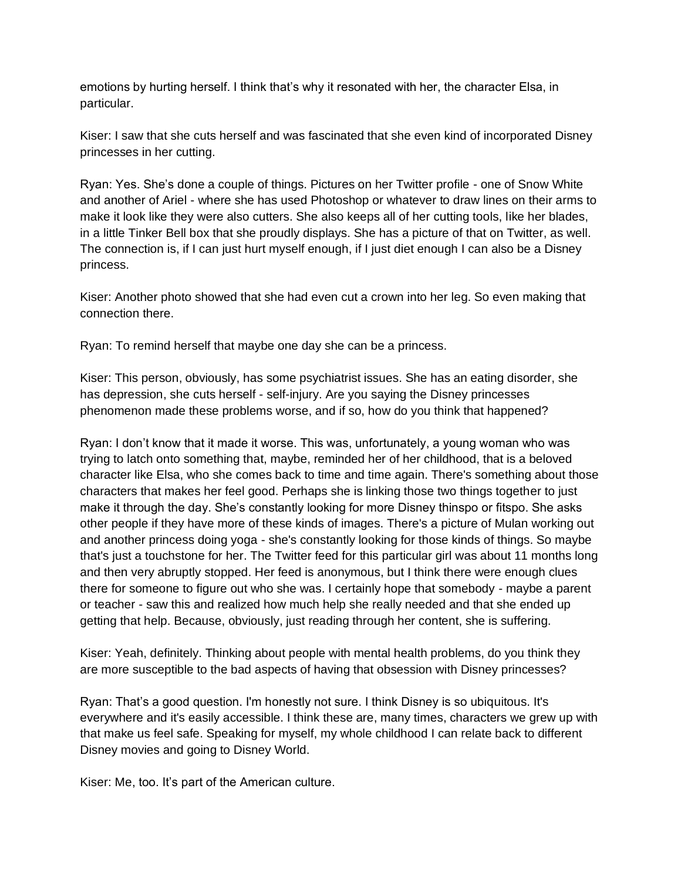emotions by hurting herself. I think that's why it resonated with her, the character Elsa, in particular.

Kiser: I saw that she cuts herself and was fascinated that she even kind of incorporated Disney princesses in her cutting.

Ryan: Yes. She's done a couple of things. Pictures on her Twitter profile - one of Snow White and another of Ariel - where she has used Photoshop or whatever to draw lines on their arms to make it look like they were also cutters. She also keeps all of her cutting tools, like her blades, in a little Tinker Bell box that she proudly displays. She has a picture of that on Twitter, as well. The connection is, if I can just hurt myself enough, if I just diet enough I can also be a Disney princess.

Kiser: Another photo showed that she had even cut a crown into her leg. So even making that connection there.

Ryan: To remind herself that maybe one day she can be a princess.

Kiser: This person, obviously, has some psychiatrist issues. She has an eating disorder, she has depression, she cuts herself - self-injury. Are you saying the Disney princesses phenomenon made these problems worse, and if so, how do you think that happened?

Ryan: I don't know that it made it worse. This was, unfortunately, a young woman who was trying to latch onto something that, maybe, reminded her of her childhood, that is a beloved character like Elsa, who she comes back to time and time again. There's something about those characters that makes her feel good. Perhaps she is linking those two things together to just make it through the day. She's constantly looking for more Disney thinspo or fitspo. She asks other people if they have more of these kinds of images. There's a picture of Mulan working out and another princess doing yoga - she's constantly looking for those kinds of things. So maybe that's just a touchstone for her. The Twitter feed for this particular girl was about 11 months long and then very abruptly stopped. Her feed is anonymous, but I think there were enough clues there for someone to figure out who she was. I certainly hope that somebody - maybe a parent or teacher - saw this and realized how much help she really needed and that she ended up getting that help. Because, obviously, just reading through her content, she is suffering.

Kiser: Yeah, definitely. Thinking about people with mental health problems, do you think they are more susceptible to the bad aspects of having that obsession with Disney princesses?

Ryan: That's a good question. I'm honestly not sure. I think Disney is so ubiquitous. It's everywhere and it's easily accessible. I think these are, many times, characters we grew up with that make us feel safe. Speaking for myself, my whole childhood I can relate back to different Disney movies and going to Disney World.

Kiser: Me, too. It's part of the American culture.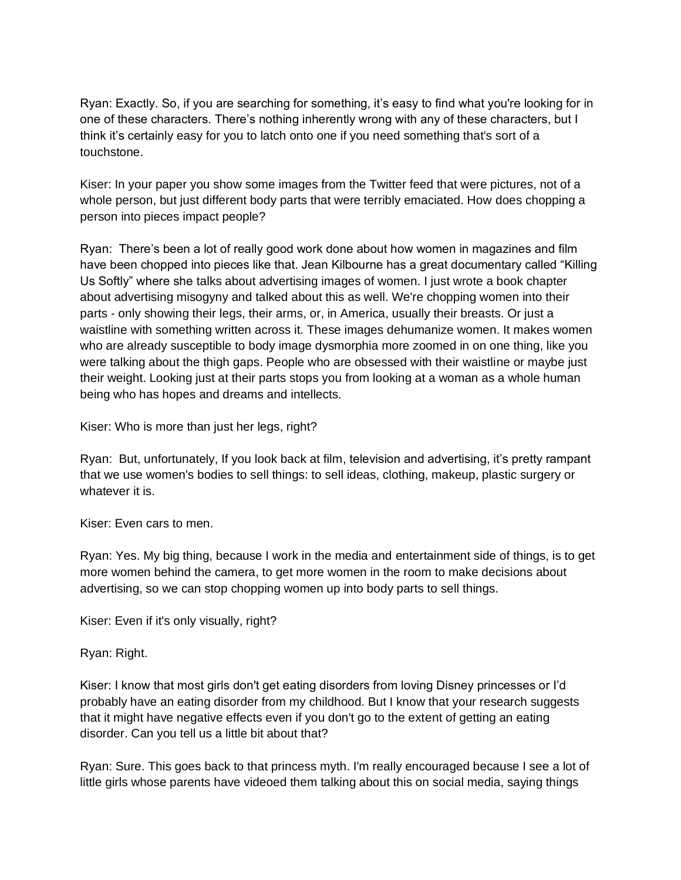Ryan: Exactly. So, if you are searching for something, it's easy to find what you're looking for in one of these characters. There's nothing inherently wrong with any of these characters, but I think it's certainly easy for you to latch onto one if you need something that's sort of a touchstone.

Kiser: In your paper you show some images from the Twitter feed that were pictures, not of a whole person, but just different body parts that were terribly emaciated. How does chopping a person into pieces impact people?

Ryan: There's been a lot of really good work done about how women in magazines and film have been chopped into pieces like that. Jean Kilbourne has a great documentary called "Killing Us Softly" where she talks about advertising images of women. I just wrote a book chapter about advertising misogyny and talked about this as well. We're chopping women into their parts - only showing their legs, their arms, or, in America, usually their breasts. Or just a waistline with something written across it. These images dehumanize women. It makes women who are already susceptible to body image dysmorphia more zoomed in on one thing, like you were talking about the thigh gaps. People who are obsessed with their waistline or maybe just their weight. Looking just at their parts stops you from looking at a woman as a whole human being who has hopes and dreams and intellects.

Kiser: Who is more than just her legs, right?

Ryan: But, unfortunately, If you look back at film, television and advertising, it's pretty rampant that we use women's bodies to sell things: to sell ideas, clothing, makeup, plastic surgery or whatever it is.

Kiser: Even cars to men.

Ryan: Yes. My big thing, because I work in the media and entertainment side of things, is to get more women behind the camera, to get more women in the room to make decisions about advertising, so we can stop chopping women up into body parts to sell things.

Kiser: Even if it's only visually, right?

Ryan: Right.

Kiser: I know that most girls don't get eating disorders from loving Disney princesses or I'd probably have an eating disorder from my childhood. But I know that your research suggests that it might have negative effects even if you don't go to the extent of getting an eating disorder. Can you tell us a little bit about that?

Ryan: Sure. This goes back to that princess myth. I'm really encouraged because I see a lot of little girls whose parents have videoed them talking about this on social media, saying things